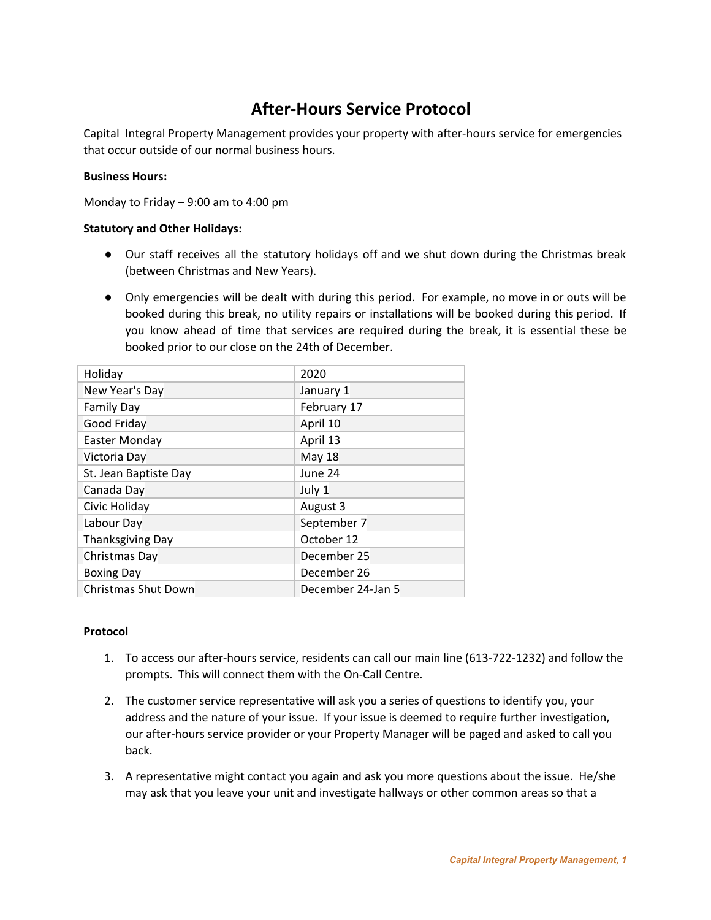## **After-Hours Service Protocol**

Capital Integral Property Management provides your property with after-hours service for emergencies that occur outside of our normal business hours.

## **Business Hours:**

Monday to Friday – 9:00 am to 4:00 pm

## **Statutory and Other Holidays:**

- Our staff receives all the statutory holidays off and we shut down during the Christmas break (between Christmas and New Years).
- Only emergencies will be dealt with during this period. For example, no move in or outs will be booked during this break, no utility repairs or installations will be booked during this period. If you know ahead of time that services are required during the break, it is essential these be booked prior to our close on the 24th of December.

| Holiday                    | 2020              |
|----------------------------|-------------------|
| New Year's Day             | January 1         |
| <b>Family Day</b>          | February 17       |
| Good Friday                | April 10          |
| Easter Monday              | April 13          |
| Victoria Day               | <b>May 18</b>     |
| St. Jean Baptiste Day      | June 24           |
| Canada Day                 | July 1            |
| Civic Holiday              | August 3          |
| Labour Day                 | September 7       |
| <b>Thanksgiving Day</b>    | October 12        |
| Christmas Day              | December 25       |
| <b>Boxing Day</b>          | December 26       |
| <b>Christmas Shut Down</b> | December 24-Jan 5 |

## **Protocol**

- 1. To access our after-hours service, residents can call our main line (613-722-1232) and follow the prompts. This will connect them with the On-Call Centre.
- 2. The customer service representative will ask you a series of questions to identify you, your address and the nature of your issue. If your issue is deemed to require further investigation, our after-hours service provider or your Property Manager will be paged and asked to call you back.
- 3. A representative might contact you again and ask you more questions about the issue. He/she may ask that you leave your unit and investigate hallways or other common areas so that a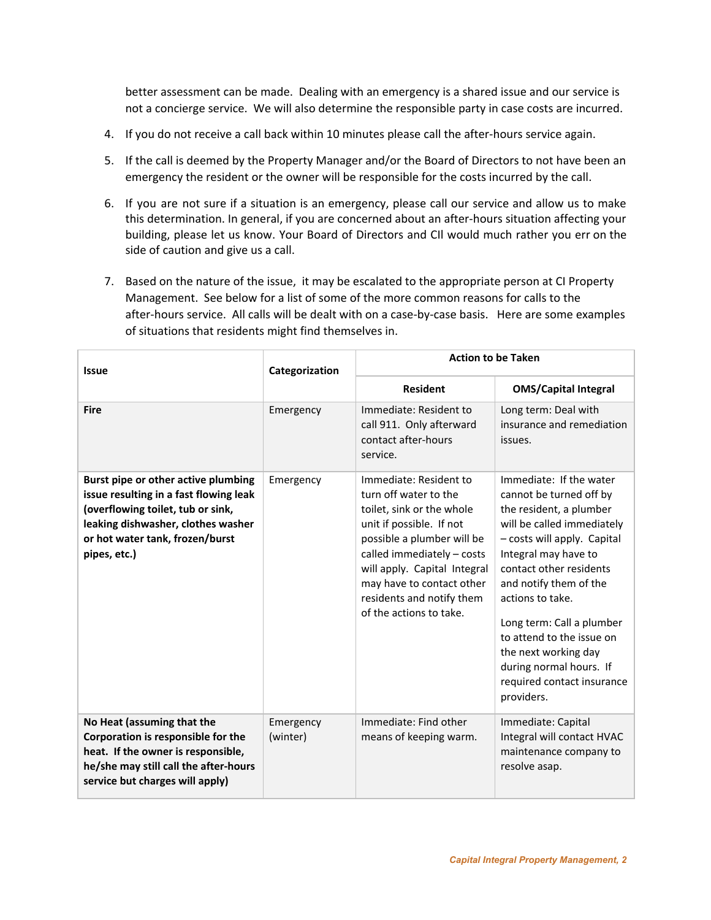better assessment can be made. Dealing with an emergency is a shared issue and our service is not a concierge service. We will also determine the responsible party in case costs are incurred.

- 4. If you do not receive a call back within 10 minutes please call the after-hours service again.
- 5. If the call is deemed by the Property Manager and/or the Board of Directors to not have been an emergency the resident or the owner will be responsible for the costs incurred by the call.
- 6. If you are not sure if a situation is an emergency, please call our service and allow us to make this determination. In general, if you are concerned about an after-hours situation affecting your building, please let us know. Your Board of Directors and CIl would much rather you err on the side of caution and give us a call.
- 7. Based on the nature of the issue, it may be escalated to the appropriate person at CI Property Management. See below for a list of some of the more common reasons for calls to the after-hours service. All calls will be dealt with on a case-by-case basis. Here are some examples of situations that residents might find themselves in.

| <b>Issue</b>                                                                                                                                                                                                | Categorization        | <b>Action to be Taken</b>                                                                                                                                                                                                                                                                 |                                                                                                                                                                                                                                                                                                                                                                                                      |
|-------------------------------------------------------------------------------------------------------------------------------------------------------------------------------------------------------------|-----------------------|-------------------------------------------------------------------------------------------------------------------------------------------------------------------------------------------------------------------------------------------------------------------------------------------|------------------------------------------------------------------------------------------------------------------------------------------------------------------------------------------------------------------------------------------------------------------------------------------------------------------------------------------------------------------------------------------------------|
|                                                                                                                                                                                                             |                       | <b>Resident</b>                                                                                                                                                                                                                                                                           | <b>OMS/Capital Integral</b>                                                                                                                                                                                                                                                                                                                                                                          |
| <b>Fire</b>                                                                                                                                                                                                 | Emergency             | Immediate: Resident to<br>call 911. Only afterward<br>contact after-hours<br>service.                                                                                                                                                                                                     | Long term: Deal with<br>insurance and remediation<br>issues.                                                                                                                                                                                                                                                                                                                                         |
| Burst pipe or other active plumbing<br>issue resulting in a fast flowing leak<br>(overflowing toilet, tub or sink,<br>leaking dishwasher, clothes washer<br>or hot water tank, frozen/burst<br>pipes, etc.) | Emergency             | Immediate: Resident to<br>turn off water to the<br>toilet, sink or the whole<br>unit if possible. If not<br>possible a plumber will be<br>called immediately - costs<br>will apply. Capital Integral<br>may have to contact other<br>residents and notify them<br>of the actions to take. | Immediate: If the water<br>cannot be turned off by<br>the resident, a plumber<br>will be called immediately<br>- costs will apply. Capital<br>Integral may have to<br>contact other residents<br>and notify them of the<br>actions to take.<br>Long term: Call a plumber<br>to attend to the issue on<br>the next working day<br>during normal hours. If<br>required contact insurance<br>providers. |
| No Heat (assuming that the<br>Corporation is responsible for the<br>heat. If the owner is responsible,<br>he/she may still call the after-hours<br>service but charges will apply)                          | Emergency<br>(winter) | Immediate: Find other<br>means of keeping warm.                                                                                                                                                                                                                                           | Immediate: Capital<br>Integral will contact HVAC<br>maintenance company to<br>resolve asap.                                                                                                                                                                                                                                                                                                          |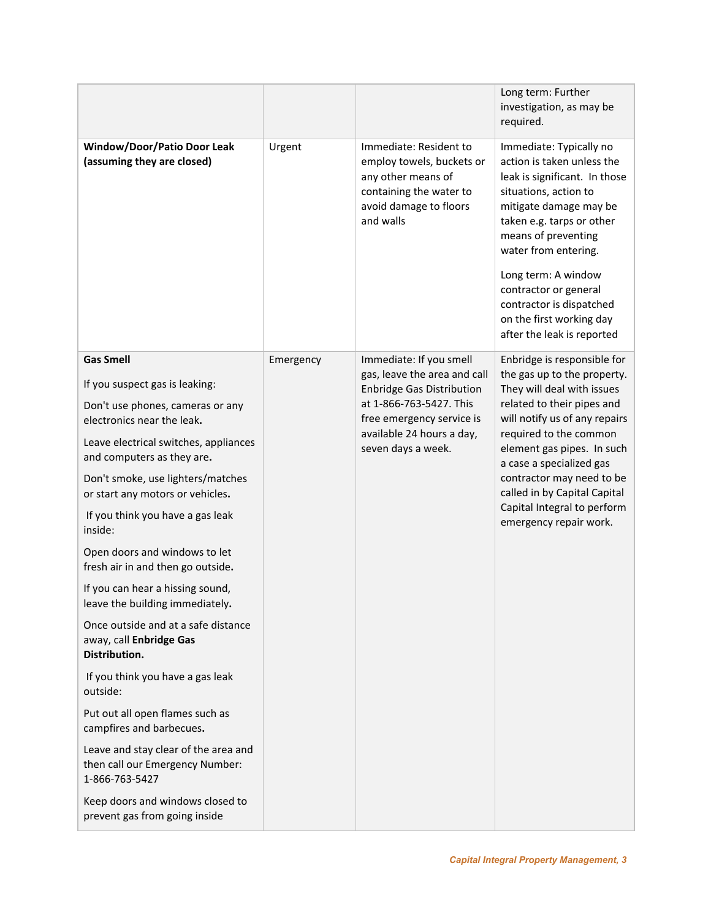|                                                                                                                                                                                                                                                                                                                                                                                                                                                                                                                                                                                                                                                                                                                                                                                                     |           |                                                                                                                                                                                                        | Long term: Further<br>investigation, as may be<br>required.                                                                                                                                                                                                                                                                                                       |
|-----------------------------------------------------------------------------------------------------------------------------------------------------------------------------------------------------------------------------------------------------------------------------------------------------------------------------------------------------------------------------------------------------------------------------------------------------------------------------------------------------------------------------------------------------------------------------------------------------------------------------------------------------------------------------------------------------------------------------------------------------------------------------------------------------|-----------|--------------------------------------------------------------------------------------------------------------------------------------------------------------------------------------------------------|-------------------------------------------------------------------------------------------------------------------------------------------------------------------------------------------------------------------------------------------------------------------------------------------------------------------------------------------------------------------|
| <b>Window/Door/Patio Door Leak</b><br>(assuming they are closed)                                                                                                                                                                                                                                                                                                                                                                                                                                                                                                                                                                                                                                                                                                                                    | Urgent    | Immediate: Resident to<br>employ towels, buckets or<br>any other means of<br>containing the water to<br>avoid damage to floors<br>and walls                                                            | Immediate: Typically no<br>action is taken unless the<br>leak is significant. In those<br>situations, action to<br>mitigate damage may be<br>taken e.g. tarps or other<br>means of preventing<br>water from entering.<br>Long term: A window<br>contractor or general<br>contractor is dispatched<br>on the first working day<br>after the leak is reported       |
| <b>Gas Smell</b><br>If you suspect gas is leaking:<br>Don't use phones, cameras or any<br>electronics near the leak.<br>Leave electrical switches, appliances<br>and computers as they are.<br>Don't smoke, use lighters/matches<br>or start any motors or vehicles.<br>If you think you have a gas leak<br>inside:<br>Open doors and windows to let<br>fresh air in and then go outside.<br>If you can hear a hissing sound,<br>leave the building immediately.<br>Once outside and at a safe distance<br>away, call Enbridge Gas<br>Distribution.<br>If you think you have a gas leak<br>outside:<br>Put out all open flames such as<br>campfires and barbecues.<br>Leave and stay clear of the area and<br>then call our Emergency Number:<br>1-866-763-5427<br>Keep doors and windows closed to | Emergency | Immediate: If you smell<br>gas, leave the area and call<br><b>Enbridge Gas Distribution</b><br>at 1-866-763-5427. This<br>free emergency service is<br>available 24 hours a day,<br>seven days a week. | Enbridge is responsible for<br>the gas up to the property.<br>They will deal with issues<br>related to their pipes and<br>will notify us of any repairs<br>required to the common<br>element gas pipes. In such<br>a case a specialized gas<br>contractor may need to be<br>called in by Capital Capital<br>Capital Integral to perform<br>emergency repair work. |